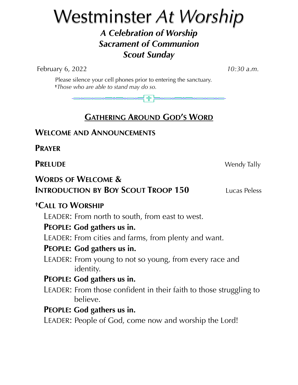# Westminster *At Worship A Celebration of Worship Sacrament of Communion Scout Sunday*

February 6, 2022 *10:30 a.m.*

 Please silence your cell phones prior to entering the sanctuary. **†***Those who are able to stand may do so.*

> ╬╞

## **GATHERING AROUND GOD'S WORD**

## **WELCOME AND ANNOUNCEMENTS**

**PRAYER**

**PRELUDE** Wendy Tally

## **WORDS OF WELCOME & INTRODUCTION BY BOY SCOUT TROOP 150** Lucas Peless

## **†CALL TO WORSHIP**

LEADER: From north to south, from east to west.

## **PEOPLE: God gathers us in.**

LEADER: From cities and farms, from plenty and want.

### **PEOPLE: God gathers us in.**

LEADER: From young to not so young, from every race and identity.

## **PEOPLE: God gathers us in.**

LEADER: From those confident in their faith to those struggling to believe.

## **PEOPLE: God gathers us in.**

LEADER: People of God, come now and worship the Lord!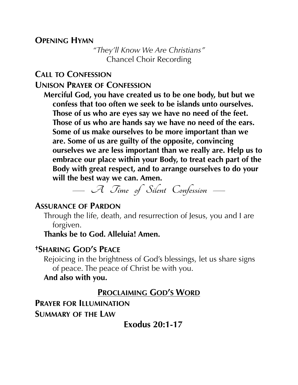#### **OPENING HYMN**

*"They'll Know We Are Christians"* Chancel Choir Recording

#### **CALL TO CONFESSION**

**UNISON PRAYER OF CONFESSION**

**Merciful God, you have created us to be one body, but but we confess that too often we seek to be islands unto ourselves. Those of us who are eyes say we have no need of the feet. Those of us who are hands say we have no need of the ears. Some of us make ourselves to be more important than we are. Some of us are guilty of the opposite, convincing ourselves we are less important than we really are. Help us to embrace our place within your Body, to treat each part of the Body with great respect, and to arrange ourselves to do your will the best way we can. Amen.**

**— A Time of Silent Confession —**

#### **ASSURANCE OF PARDON**

Through the life, death, and resurrection of Jesus, you and I are forgiven.

**Thanks be to God. Alleluia! Amen.**

#### **†SHARING GOD'S PEACE**

Rejoicing in the brightness of God's blessings, let us share signs of peace. The peace of Christ be with you.

#### **And also with you.**

## **PROCLAIMING GOD'S WORD**

**PRAYER FOR ILLUMINATION SUMMARY OF THE LAW** 

**Exodus 20:1-17**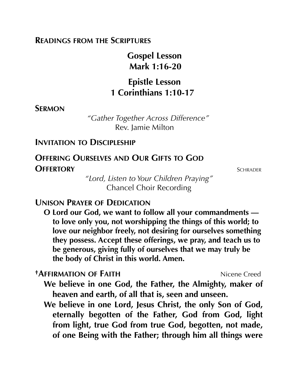#### **READINGS FROM THE SCRIPTURES**

 **Gospel Lesson Mark 1:16-20**

## **Epistle Lesson 1 Corinthians 1:10-17**

#### **SERMON**

 *"Gather Together Across Difference"* Rev. Jamie Milton

#### **INVITATION TO DISCIPLESHIP**

## **OFFERING OURSELVES AND OUR GIFTS TO GOD OFFERTORY** SCHRADER

*"Lord, Listen to Your Children Praying"* Chancel Choir Recording

#### **UNISON PRAYER OF DEDICATION**

**O Lord our God, we want to follow all your commandments to love only you, not worshipping the things of this world; to love our neighbor freely, not desiring for ourselves something they possess. Accept these offerings, we pray, and teach us to be generous, giving fully of ourselves that we may truly be the body of Christ in this world. Amen.**

*†AFFIRMATION OF FAITH* **Nicene Creed** 

- **We believe in one God, the Father, the Almighty, maker of heaven and earth, of all that is, seen and unseen.**
- **We believe in one Lord, Jesus Christ, the only Son of God, eternally begotten of the Father, God from God, light from light, true God from true God, begotten, not made, of one Being with the Father; through him all things were**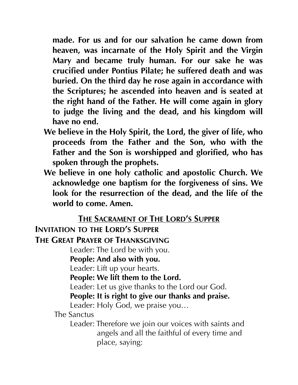**made. For us and for our salvation he came down from heaven, was incarnate of the Holy Spirit and the Virgin Mary and became truly human. For our sake he was crucified under Pontius Pilate; he suffered death and was buried. On the third day he rose again in accordance with the Scriptures; he ascended into heaven and is seated at the right hand of the Father. He will come again in glory to judge the living and the dead, and his kingdom will have no end.**

- **We believe in the Holy Spirit, the Lord, the giver of life, who proceeds from the Father and the Son, who with the Father and the Son is worshipped and glorified, who has spoken through the prophets.**
- **We believe in one holy catholic and apostolic Church. We acknowledge one baptism for the forgiveness of sins. We look for the resurrection of the dead, and the life of the world to come. Amen.**

#### **THE SACRAMENT OF THE LORD'S SUPPER**

**INVITATION TO THE LORD'S SUPPER**

**THE GREAT PRAYER OF THANKSGIVING**

Leader: The Lord be with you.

**People: And also with you.** 

Leader: Lift up your hearts.

**People: We lift them to the Lord.**

Leader: Let us give thanks to the Lord our God.

**People: It is right to give our thanks and praise.**

Leader: Holy God, we praise you…

The Sanctus

Leader: Therefore we join our voices with saints and angels and all the faithful of every time and place, saying: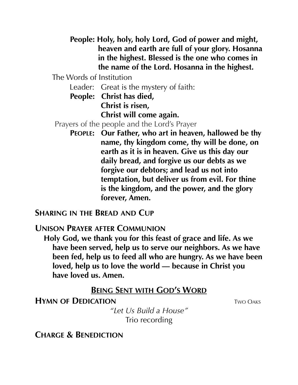**People: Holy, holy, holy Lord, God of power and might, heaven and earth are full of your glory. Hosanna in the highest. Blessed is the one who comes in the name of the Lord. Hosanna in the highest.**

The Words of Institution

Leader: Great is the mystery of faith:

 **People: Christ has died, Christ is risen, Christ will come again.**

Prayers of the people and the Lord's Prayer

**PEOPLE: Our Father, who art in heaven, hallowed be thy name, thy kingdom come, thy will be done, on earth as it is in heaven. Give us this day our daily bread, and forgive us our debts as we forgive our debtors; and lead us not into temptation, but deliver us from evil. For thine is the kingdom, and the power, and the glory forever, Amen.**

**SHARING IN THE BREAD AND CUP**

**UNISON PRAYER AFTER COMMUNION**

**Holy God, we thank you for this feast of grace and life. As we have been served, help us to serve our neighbors. As we have been fed, help us to feed all who are hungry. As we have been loved, help us to love the world — because in Christ you have loved us. Amen.**

#### **BEING SENT WITH GOD'S WORD**

**HYMN OF DEDICATION TWO OAKS** 

*"Let Us Build a House"* Trio recording

**CHARGE & BENEDICTION**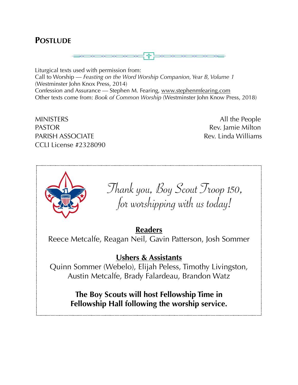#### **POSTLUDE**



Liturgical texts used with permission from: Call to Worship — *Feasting on the Word Worship Companion, Year B, Volume 1*  (Westminster John Knox Press, 2014) Confession and Assurance — Stephen M. Fearing, [www.stephenmfearing.com](http://www.stephenmfearing.com) Other texts come from: *Book of Common Worship* (Westminster John Know Press, 2018)

MINISTERS All the People PASTOR **Rev.** Jamie Milton PARISH ASSOCIATE **Rev. Linda Williams** CCLI License #2328090



**The Boy Scouts will host Fellowship Time in Fellowship Hall following the worship service.**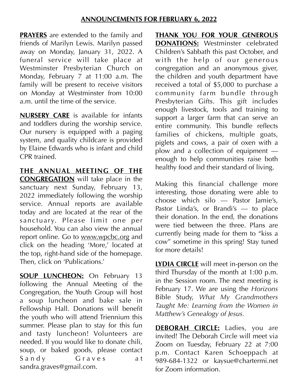**PRAYERS** are extended to the family and friends of Marilyn Lewis. Marilyn passed away on Monday, January 31, 2022. A funeral service will take place at Westminster Presbyterian Church on Monday, February 7 at 11:00 a.m. The family will be present to receive visitors on Monday at Westminster from 10:00 a.m. until the time of the service.

**NURSERY CARE** is available for infants and toddlers during the worship service. Our nursery is equipped with a paging system, and quality childcare is provided by Elaine Edwards who is infant and child CPR trained.

**THE ANNUAL MEETING OF THE CONGREGATION** will take place in the sanctuary next Sunday, February 13, 2022 immediately following the worship service. Annual reports are available today and are located at the rear of the sanctuary. Please limit one per household. You can also view the annual report online. Go to [www.wpcbc.org](http://www.wpcbc.org) and click on the heading 'More,' located at the top, right-hand side of the homepage. Then, click on 'Publications.'

**SOUP LUNCHEON:** On February 13 following the Annual Meeting of the Congregation, the Youth Group will host a soup luncheon and bake sale in Fellowship Hall. Donations will benefit the youth who will attend Triennium this summer. Please plan to stay for this fun and tasty luncheon! Volunteers are needed. If you would like to donate chili, soup, or baked goods, please contact Sandy Graves at sandra.graves@gmail.com.

**THANK YOU FOR YOUR GENEROUS DONATIONS:** Westminster celebrated Children's Sabbath this past October, and with the help of our generous congregation and an anonymous giver, the children and youth department have received a total of \$5,000 to purchase a community farm bundle through Presbyterian Gifts. This gift includes enough livestock, tools and training to support a larger farm that can serve an entire community. This bundle reflects families of chickens, multiple goats, piglets and cows, a pair of oxen with a plow and a collection of equipment enough to help communities raise both healthy food and their standard of living.

Making this financial challenge more interesting, those donating were able to choose which silo — Pastor Jamie's, Pastor Linda's, or Brandi's — to place their donation. In the end, the donations were tied between the three. Plans are currently being made for them to "kiss a cow" sometime in this spring! Stay tuned for more details!

**LYDIA CIRCLE** will meet in-person on the third Thursday of the month at 1:00 p.m. in the Session room. The next meeting is February 17. We are using the *Horizons* Bible Study, *What My Grandmothers Taught Me: Learning from the Women in Matthew's Genealogy of Jesus.*

**DEBORAH CIRCLE:** Ladies, you are invited! The Deborah Circle will meet via Zoom on Tuesday, February 22 at 7:00 p.m. Contact Karen Schoeppach at 989-684-1322 or kaysue@chartermi.net for Zoom information.